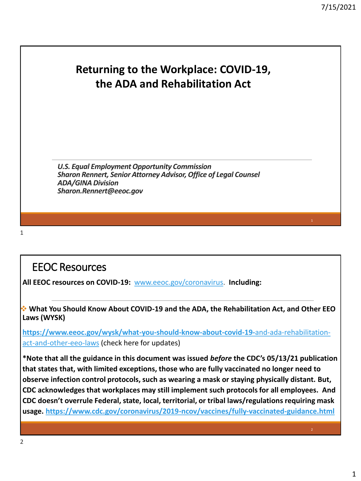### **Returning to the Workplace: COVID-19, the ADA and Rehabilitation Act**

*U.S. Equal Employment Opportunity Commission Sharon Rennert, Senior Attorney Advisor, Office of Legal Counsel ADA/GINA Division Sharon.Rennert@eeoc.gov*

1

### EEOC Resources

**All EEOC resources on COVID-19:** [www.eeoc.gov/coronavirus.](http://www.eeoc.gov/coronavirus) **Including:**

❖ **What You Should Know About COVID-19 and the ADA, the Rehabilitation Act, and Other EEO Laws (WYSK)**

**[https://www.eeoc.gov/wysk/what-you-should-know-about-covid-19-](https://www.eeoc.gov/wysk/what-you-should-know-about-covid-19-and-ada-rehabilitation-act-and-other-eeo-laws)**and-ada-rehabilitationact-and-other-eeo-laws (check here for updates)

**\*Note that all the guidance in this document was issued** *before* **the CDC's 05/13/21 publication that states that, with limited exceptions, those who are fully vaccinated no longer need to observe infection control protocols, such as wearing a mask or staying physically distant. But, CDC acknowledges that workplaces may still implement such protocols for all employees. And CDC doesn't overrule Federal, state, local, territorial, or tribal laws/regulations requiring mask usage.<https://www.cdc.gov/coronavirus/2019-ncov/vaccines/fully-vaccinated-guidance.html>**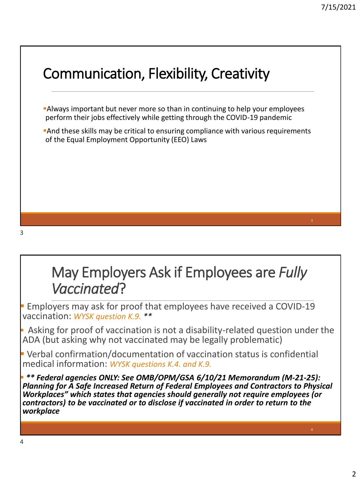

# May Employers Ask if Employees are *Fully Vaccinated*?

**Employers may ask for proof that employees have received a COVID-19** vaccination: *WYSK question K.9. \*\**

**•** Asking for proof of vaccination is not a disability-related question under the ADA (but asking why not vaccinated may be legally problematic)

**• Verbal confirmation/documentation of vaccination status is confidential** medical information: *WYSK questions K.4. and K.9.*

▪ *\*\* Federal agencies ONLY: See OMB/OPM/GSA 6/10/21 Memorandum (M-21-25): Planning for A Safe Increased Return of Federal Employees and Contractors to Physical Workplaces" which states that agencies should generally not require employees (or contractors) to be vaccinated or to disclose if vaccinated in order to return to the workplace*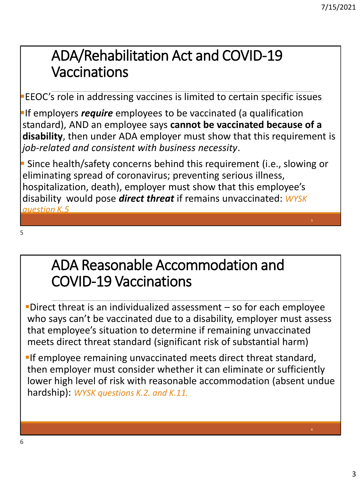6

# ADA/Rehabilitation Act and COVID-19 Vaccinations

▪EEOC's role in addressing vaccines is limited to certain specific issues

**If employers** *require* employees to be vaccinated (a qualification standard), AND an employee says **cannot be vaccinated because of a disability**, then under ADA employer must show that this requirement is *job-related and consistent with business necessity*.

▪ Since health/safety concerns behind this requirement (i.e., slowing or eliminating spread of coronavirus; preventing serious illness, hospitalization, death), employer must show that this employee's disability would pose *direct threat* if remains unvaccinated: *WYSK question K.5*

5

# ADA Reasonable Accommodation and COVID-19 Vaccinations

**-Direct threat is an individualized assessment – so for each employee** who says can't be vaccinated due to a disability, employer must assess that employee's situation to determine if remaining unvaccinated meets direct threat standard (significant risk of substantial harm)

**If employee remaining unvaccinated meets direct threat standard,** then employer must consider whether it can eliminate or sufficiently lower high level of risk with reasonable accommodation (absent undue hardship): *WYSK questions K.2. and K.11.*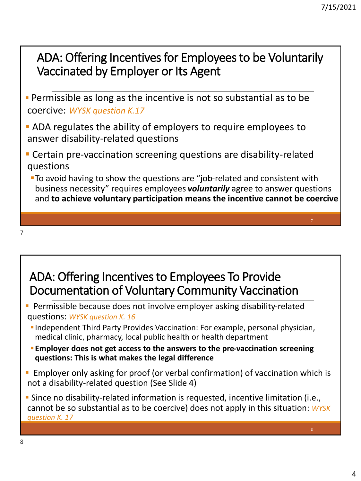### ADA: Offering Incentives for Employees to be Voluntarily Vaccinated by Employer or Its Agent

- **Permissible as long as the incentive is not so substantial as to be** coercive: *WYSK question K.17*
- **EXAGE ADA regulates the ability of employers to require employees to** answer disability-related questions
- **E** Certain pre-vaccination screening questions are disability-related questions
	- **To avoid having to show the questions are "job-related and consistent with** business necessity" requires employees *voluntarily* agree to answer questions and **to achieve voluntary participation means the incentive cannot be coercive**

## ADA: Offering Incentives to Employees To Provide Documentation of Voluntary Community Vaccination

- **Permissible because does not involve employer asking disability-related** questions: *WYSK question K. 16*
	- ▪Independent Third Party Provides Vaccination: For example, personal physician, medical clinic, pharmacy, local public health or health department
	- **Employer does not get access to the answers to the pre-vaccination screening questions: This is what makes the legal difference**
- **Employer only asking for proof (or verbal confirmation) of vaccination which is** not a disability-related question (See Slide 4)

**E** Since no disability-related information is requested, incentive limitation (i.e., cannot be so substantial as to be coercive) does not apply in this situation: *WYSK question K. 17*

7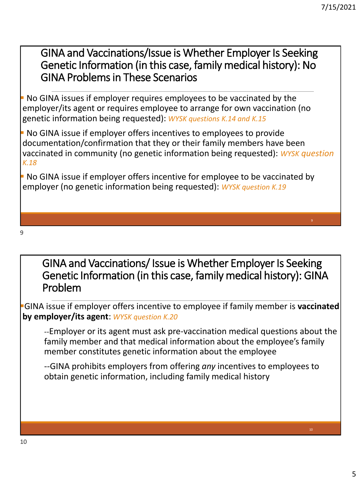GINA and Vaccinations/Issue is Whether Employer Is Seeking Genetic Information (in this case, family medical history): No GINA Problems in These Scenarios

**No GINA issues if employer requires employees to be vaccinated by the** employer/its agent or requires employee to arrange for own vaccination (no genetic information being requested): *WYSK questions K.14 and K.15* 

**• No GINA issue if employer offers incentives to employees to provide** documentation/confirmation that they or their family members have been vaccinated in community (no genetic information being requested): *WYSK question K.18* 

**• No GINA issue if employer offers incentive for employee to be vaccinated by** employer (no genetic information being requested): *WYSK question K.19* 

9

GINA and Vaccinations/ Issue is Whether Employer Is Seeking Genetic Information (in this case, family medical history): GINA Problem

▪GINA issue if employer offers incentive to employee if family member is **vaccinated by employer/its agent**: *WYSK question K.20*

*--*Employer or its agent must ask pre-vaccination medical questions about the family member and that medical information about the employee's family member constitutes genetic information about the employee

--GINA prohibits employers from offering *any* incentives to employees to obtain genetic information, including family medical history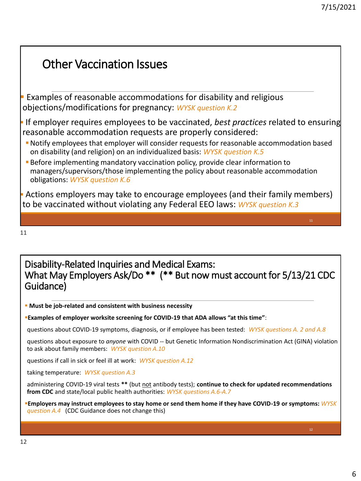### Other Vaccination Issues **Examples of reasonable accommodations for disability and religious** objections/modifications for pregnancy: *WYSK question K.2* ▪ If employer requires employees to be vaccinated, *best practices* related to ensuring reasonable accommodation requests are properly considered: ▪Notify employees that employer will consider requests for reasonable accommodation based on disability (and religion) on an individualized basis: *WYSK question K.5* **EXECTE ENDIFFERITY IS A LOCAL THE INCOCOLD FOR THE ISLAM** POINT FOR THE BEFORE INTERFERITY DETERMINION TO BEFORE THE BEFORE THE BEFORE ISLAMINION TO BEFORE THE BEFORE THE BEFORE THE BEFORE THE BEFORE THE BEFORE THE BEFORE managers/supervisors/those implementing the policy about reasonable accommodation obligations: *WYSK question K.6* **EXECT** Actions employers may take to encourage employees (and their family members) to be vaccinated without violating any Federal EEO laws: *WYSK question K.3*

11

### Disability-Related Inquiries and Medical Exams: What May Employers Ask/Do \*\* (\*\* But now must account for 5/13/21 CDC Guidance)

**EXECT:** Must be job-related and consistent with business necessity

▪**Examples of employer worksite screening for COVID-19 that ADA allows "at this time"**:

questions about COVID-19 symptoms, diagnosis, or if employee has been tested: *WYSK questions A. 2 and A.8*

questions about exposure to *anyone* with COVID -- but Genetic Information Nondiscrimination Act (GINA) violation to ask about family members: *WYSK question A.10*

questions if call in sick or feel ill at work: *WYSK question A.12*

taking temperature: *WYSK question A.3*

administering COVID-19 viral tests \*\* (but not antibody tests); continue to check for updated recommendations **from CDC** and state/local public health authorities: *WYSK questions A.6-A.7* 

▪**Employers may instruct employees to stay home or send them home if they have COVID-19 or symptoms:** *WYSK question A.4* (CDC Guidance does not change this)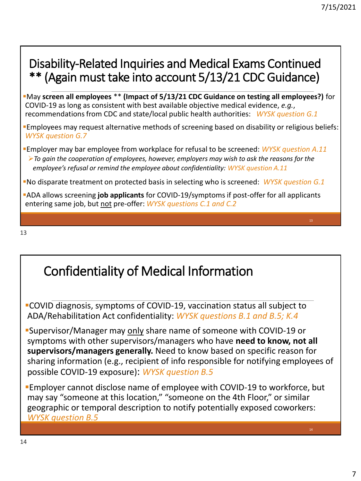#### 7/15/2021

### Disability-Related Inquiries and Medical Exams Continued \*\* (Again must take into account 5/13/21 CDC Guidance)

- ▪May **screen all employees** \*\* **(Impact of 5/13/21 CDC Guidance on testing all employees?)** for COVID-19 as long as consistent with best available objective medical evidence, *e.g.*, recommendations from CDC and state/local public health authorities: *WYSK question G.1*
- ▪Employees may request alternative methods of screening based on disability or religious beliefs: *WYSK question G.7*
- ▪Employer may bar employee from workplace for refusal to be screened: *WYSK question A.11* ➢*To gain the cooperation of employees, however, employers may wish to ask the reasons for the employee's refusal or remind the employee about confidentiality: WYSK question A.11*
- ▪No disparate treatment on protected basis in selecting who is screened: *WYSK question G.1*
- ▪ADA allows screening **job applicants** for COVID-19/symptoms if post-offer for all applicants entering same job, but not pre-offer: *WYSK questions C.1 and C.2*

13

## Confidentiality of Medical Information

▪COVID diagnosis, symptoms of COVID-19, vaccination status all subject to ADA/Rehabilitation Act confidentiality: *WYSK questions B.1 and B.5; K.4*

▪Supervisor/Manager may only share name of someone with COVID-19 or symptoms with other supervisors/managers who have **need to know, not all supervisors/managers generally.** Need to know based on specific reason for sharing information (e.g., recipient of info responsible for notifying employees of possible COVID-19 exposure): *WYSK question B.5*

**Employer cannot disclose name of employee with COVID-19 to workforce, but** may say "someone at this location," "someone on the 4th Floor," or similar geographic or temporal description to notify potentially exposed coworkers: *WYSK question B.5*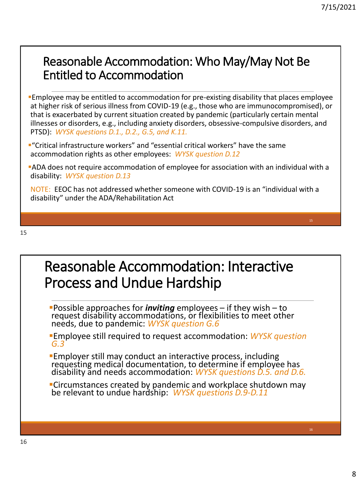### Reasonable Accommodation: Who May/May Not Be Entitled to Accommodation

- **Employee may be entitled to accommodation for pre-existing disability that places employee** at higher risk of serious illness from COVID-19 (e.g., those who are immunocompromised), or that is exacerbated by current situation created by pandemic (particularly certain mental illnesses or disorders, e.g., including anxiety disorders, obsessive-compulsive disorders, and PTSD): *WYSK questions D.1., D.2., G.5, and K.11.*
- ▪"Critical infrastructure workers" and "essential critical workers" have the same accommodation rights as other employees: *WYSK question D.12*
- ▪ADA does not require accommodation of employee for association with an individual with a disability: *WYSK question D.13*

NOTE: EEOC has not addressed whether someone with COVID-19 is an "individual with a disability" under the ADA/Rehabilitation Act

## Reasonable Accommodation: Interactive Process and Undue Hardship

- ▪Possible approaches for *inviting* employees if they wish to request disability accommodations, or flexibilities to meet other needs, due to pandemic: *WYSK question G.6*
- **Employee still required to request accommodation: WYSK question** *G.3*
- **Employer still may conduct an interactive process, including** requesting medical documentation, to determine if employee has disability and needs accommodation: *WYSK questions D.5. and D.6.*
- **ELITTE:** Circumstances created by pandemic and workplace shutdown may be relevant to undue hardship: *WYSK questions D.9-D.11*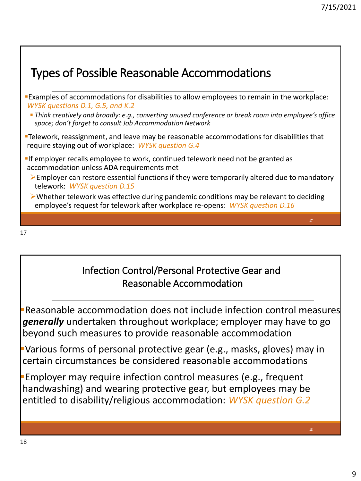| <b>Types of Possible Reasonable Accommodations</b>                                                                                                                                     |
|----------------------------------------------------------------------------------------------------------------------------------------------------------------------------------------|
| "Examples of accommodations for disabilities to allow employees to remain in the workplace:<br>WYSK questions D.1, G.5, and K.2                                                        |
| • Think creatively and broadly: e.g., converting unused conference or break room into employee's office<br>space; don't forget to consult Job Accommodation Network                    |
| <b>Example 2 Felework, reassignment, and leave may be reasonable accommodations for disabilities that</b><br>require staying out of workplace: WYSK question G.4                       |
| If employer recalls employee to work, continued telework need not be granted as<br>accommodation unless ADA requirements met                                                           |
| $\triangleright$ Employer can restore essential functions if they were temporarily altered due to mandatory<br>telework: WYSK question D.15                                            |
| $\triangleright$ Whether telework was effective during pandemic conditions may be relevant to deciding<br>employee's request for telework after workplace re-opens: WYSK question D.16 |
| 17                                                                                                                                                                                     |

### Infection Control/Personal Protective Gear and Reasonable Accommodation

**Beasonable accommodation does not include infection control measures** *generally* undertaken throughout workplace; employer may have to go beyond such measures to provide reasonable accommodation

▪Various forms of personal protective gear (e.g., masks, gloves) may in certain circumstances be considered reasonable accommodations

**Employer may require infection control measures (e.g., frequent** handwashing) and wearing protective gear, but employees may be entitled to disability/religious accommodation: *WYSK question G.2*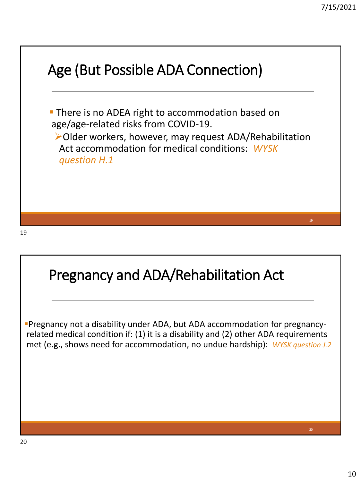

## Pregnancy and ADA/Rehabilitation Act

▪Pregnancy not a disability under ADA, but ADA accommodation for pregnancyrelated medical condition if: (1) it is a disability and (2) other ADA requirements met (e.g., shows need for accommodation, no undue hardship): *WYSK question J.2*